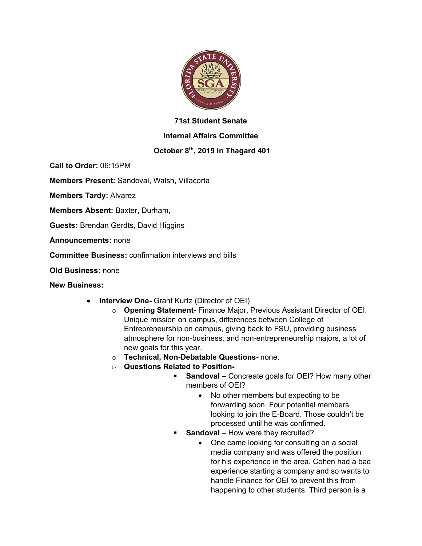

## **71st Student Senate**

### **Internal Affairs Committee**

# **October 8th, 2019 in Thagard 401**

**Call to Order:** 06:15PM

**Members Present:** Sandoval, Walsh, Villacorta

**Members Tardy:** Alvarez

**Members Absent:** Baxter, Durham,

**Guests:** Brendan Gerdts, David Higgins

**Announcements:** none

**Committee Business:** confirmation interviews and bills

**Old Business:** none

**New Business:**

- **Interview One-** Grant Kurtz (Director of OEI)
	- o **Opening Statement-** Finance Major, Previous Assistant Director of OEI, Unique mission on campus, differences between College of Entrepreneurship on campus, giving back to FSU, providing business atmosphere for non-business, and non-entrepreneurship majors, a lot of new goals for this year.
	- o **Technical, Non-Debatable Questions-** none.
	- o **Questions Related to Position-**
		- **Sandoval –** Concreate goals for OEI? How many other members of OEI?
			- No other members but expecting to be forwarding soon. Four potential members looking to join the E-Board. Those couldn't be processed until he was confirmed.
		- **Sandoval** How were they recruited?
			- One came looking for consulting on a social media company and was offered the position for his experience in the area. Cohen had a bad experience starting a company and so wants to handle Finance for OEI to prevent this from happening to other students. Third person is a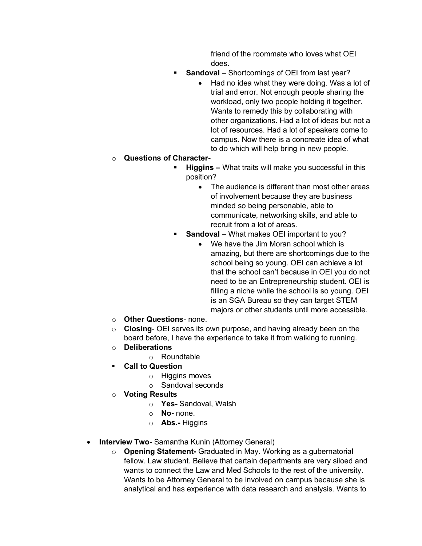friend of the roommate who loves what OEI does.

- **Sandoval** Shortcomings of OEI from last year?
	- Had no idea what they were doing. Was a lot of trial and error. Not enough people sharing the workload, only two people holding it together. Wants to remedy this by collaborating with other organizations. Had a lot of ideas but not a lot of resources. Had a lot of speakers come to campus. Now there is a concreate idea of what to do which will help bring in new people.

### o **Questions of Character-**

- § **Higgins –** What traits will make you successful in this position?
	- The audience is different than most other areas of involvement because they are business minded so being personable, able to communicate, networking skills, and able to recruit from a lot of areas.
- § **Sandoval**  What makes OEI important to you?
	- We have the Jim Moran school which is amazing, but there are shortcomings due to the school being so young. OEI can achieve a lot that the school can't because in OEI you do not need to be an Entrepreneurship student. OEI is filling a niche while the school is so young. OEI is an SGA Bureau so they can target STEM majors or other students until more accessible.
- o **Other Questions** none.
- o **Closing** OEI serves its own purpose, and having already been on the board before, I have the experience to take it from walking to running.
- o **Deliberations**
	- o Roundtable
- § **Call to Question**
	- o Higgins moves
	- o Sandoval seconds
- **Voting Results** 
	- o **Yes-** Sandoval, Walsh
	- o **No-** none.
	- o **Abs.-** Higgins
- **Interview Two-** Samantha Kunin (Attorney General)
	- o **Opening Statement-** Graduated in May. Working as a gubernatorial fellow. Law student. Believe that certain departments are very siloed and wants to connect the Law and Med Schools to the rest of the university. Wants to be Attorney General to be involved on campus because she is analytical and has experience with data research and analysis. Wants to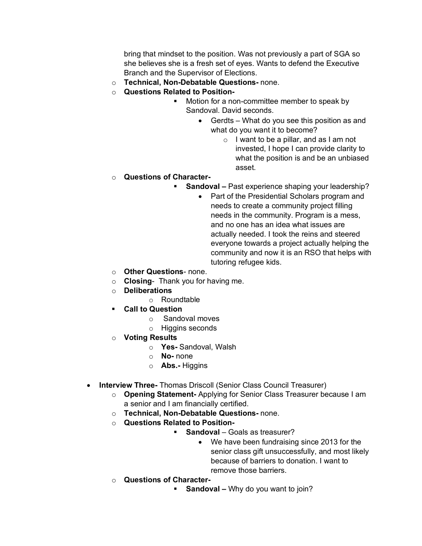bring that mindset to the position. Was not previously a part of SGA so she believes she is a fresh set of eyes. Wants to defend the Executive Branch and the Supervisor of Elections.

- o **Technical, Non-Debatable Questions-** none.
- o **Questions Related to Position-**
	- Motion for a non-committee member to speak by Sandoval. David seconds.
		- Gerdts What do you see this position as and what do you want it to become?
			- o I want to be a pillar, and as I am not invested, I hope I can provide clarity to what the position is and be an unbiased asset.

### o **Questions of Character-**

- **Sandoval –** Past experience shaping your leadership?
	- Part of the Presidential Scholars program and needs to create a community project filling needs in the community. Program is a mess, and no one has an idea what issues are actually needed. I took the reins and steered everyone towards a project actually helping the community and now it is an RSO that helps with tutoring refugee kids.
- o **Other Questions** none.
- o **Closing** Thank you for having me.
- o **Deliberations**
	- o Roundtable
- § **Call to Question**
	- o Sandoval moves
	- o Higgins seconds
- o **Voting Results**
	- o **Yes-** Sandoval, Walsh
	- o **No-** none
	- o **Abs.-** Higgins
- **Interview Three-** Thomas Driscoll (Senior Class Council Treasurer)
	- o **Opening Statement-** Applying for Senior Class Treasurer because I am a senior and I am financially certified.
	- o **Technical, Non-Debatable Questions-** none.
	- o **Questions Related to Position-**
		- **Sandoval** Goals as treasurer?
			- We have been fundraising since 2013 for the senior class gift unsuccessfully, and most likely because of barriers to donation. I want to remove those barriers.
	- o **Questions of Character-**
		- **Sandoval –** Why do you want to join?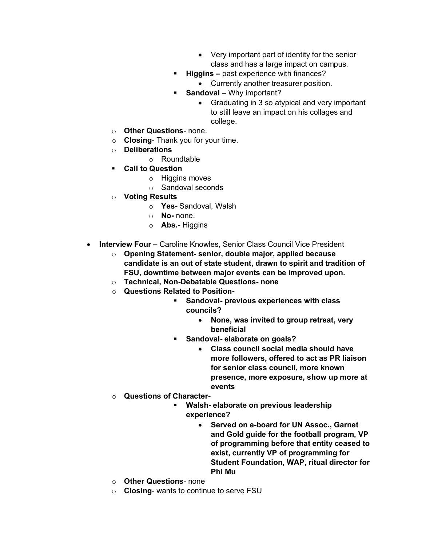- Very important part of identity for the senior class and has a large impact on campus.
- § **Higgins –** past experience with finances?
	- Currently another treasurer position.
- § **Sandoval** Why important?
	- Graduating in 3 so atypical and very important to still leave an impact on his collages and college.
- o **Other Questions** none.
- o **Closing** Thank you for your time.
- o **Deliberations**
	- o Roundtable
- § **Call to Question**
	- o Higgins moves
	- o Sandoval seconds
- o **Voting Results**
	- o **Yes-** Sandoval, Walsh
	- o **No-** none.
	- o **Abs.-** Higgins
- **Interview Four –** Caroline Knowles, Senior Class Council Vice President
	- o **Opening Statement- senior, double major, applied because candidate is an out of state student, drawn to spirit and tradition of FSU, downtime between major events can be improved upon.**
	- o **Technical, Non-Debatable Questions- none**
	- o **Questions Related to Position-**
		- § **Sandoval- previous experiences with class councils?**
			- **None, was invited to group retreat, very beneficial**
		- § **Sandoval- elaborate on goals?**
			- **Class council social media should have more followers, offered to act as PR liaison for senior class council, more known presence, more exposure, show up more at events**
	- o **Questions of Character-**
		- § **Walsh- elaborate on previous leadership experience?**
			- **Served on e-board for UN Assoc., Garnet and Gold guide for the football program, VP of programming before that entity ceased to exist, currently VP of programming for Student Foundation, WAP, ritual director for Phi Mu**
	- o **Other Questions** none
	- o **Closing** wants to continue to serve FSU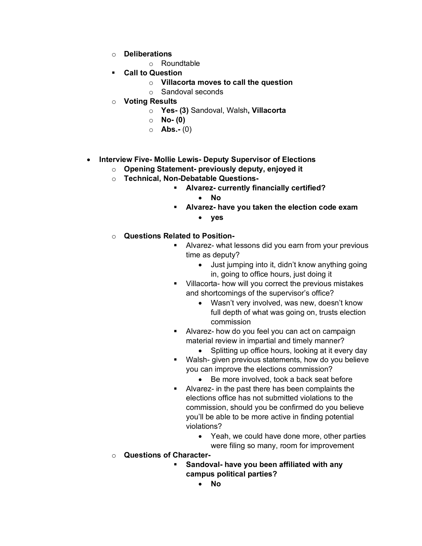- o **Deliberations**
	- o Roundtable
- § **Call to Question**
	- o **Villacorta moves to call the question**
	- o Sandoval seconds
- o **Voting Results**
	- o **Yes- (3)** Sandoval, Walsh**, Villacorta**
	- o **No- (0)**
	- o **Abs.-** (0)
- **Interview Five- Mollie Lewis- Deputy Supervisor of Elections**
	- o **Opening Statement- previously deputy, enjoyed it**
	- o **Technical, Non-Debatable Questions-**
		- § **Alvarez- currently financially certified?**
			- **No**
		- § **Alvarez- have you taken the election code exam**
			- **yes**
	- o **Questions Related to Position-**
		- **EXTER** Alvarez- what lessons did you earn from your previous time as deputy?
			- Just jumping into it, didn't know anything going in, going to office hours, just doing it
		- § Villacorta- how will you correct the previous mistakes and shortcomings of the supervisor's office?
			- Wasn't very involved, was new, doesn't know full depth of what was going on, trusts election commission
		- Alvarez- how do you feel you can act on campaign material review in impartial and timely manner?
			- Splitting up office hours, looking at it every day
		- Walsh- given previous statements, how do you believe you can improve the elections commission?
			- Be more involved, took a back seat before
		- Alvarez- in the past there has been complaints the elections office has not submitted violations to the commission, should you be confirmed do you believe you'll be able to be more active in finding potential violations?
			- Yeah, we could have done more, other parties were filing so many, room for improvement
	- o **Questions of Character-**
		- § **Sandoval- have you been affiliated with any campus political parties?**
			- **No**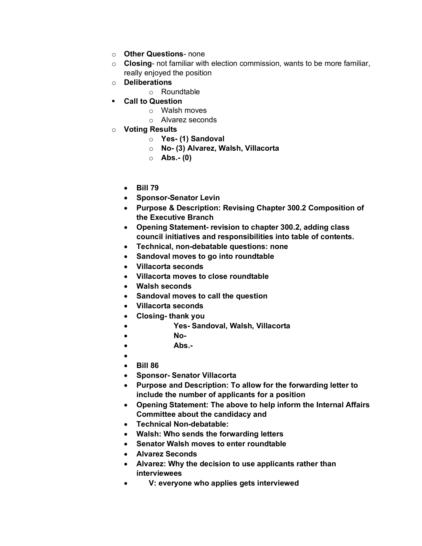- o **Other Questions** none
- o **Closing** not familiar with election commission, wants to be more familiar, really enjoyed the position
- o **Deliberations**
	- o Roundtable
- § **Call to Question**
	- o Walsh moves
	- o Alvarez seconds
- o **Voting Results**
	- o **Yes- (1) Sandoval**
	- o **No- (3) Alvarez, Walsh, Villacorta**
	- o **Abs.- (0)**
	- **Bill 79**
	- **Sponsor-Senator Levin**
	- **Purpose & Description: Revising Chapter 300.2 Composition of the Executive Branch**
	- **Opening Statement- revision to chapter 300.2, adding class council initiatives and responsibilities into table of contents.**
	- **Technical, non-debatable questions: none**
	- **Sandoval moves to go into roundtable**
	- **Villacorta seconds**
	- **Villacorta moves to close roundtable**
	- **Walsh seconds**
	- **Sandoval moves to call the question**
	- **Villacorta seconds**
	- **Closing- thank you**
	- **Yes- Sandoval, Walsh, Villacorta**
	- **No-**
	- **Abs.-**
	- •
	- **Bill 86**
	- **Sponsor- Senator Villacorta**
	- **Purpose and Description: To allow for the forwarding letter to include the number of applicants for a position**
	- **Opening Statement: The above to help inform the Internal Affairs Committee about the candidacy and**
	- **Technical Non-debatable:**
	- **Walsh: Who sends the forwarding letters**
	- **Senator Walsh moves to enter roundtable**
	- **Alvarez Seconds**
	- **Alvarez: Why the decision to use applicants rather than interviewees**
	- **V: everyone who applies gets interviewed**